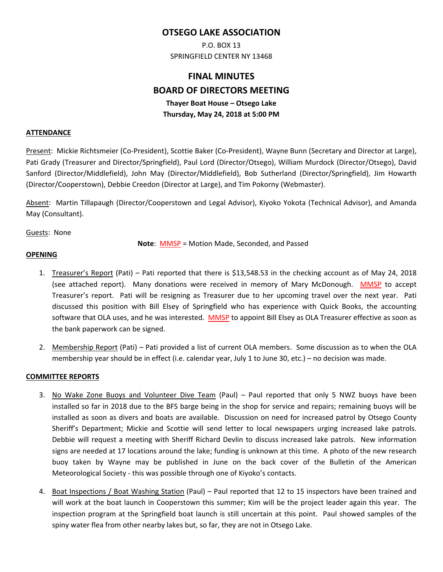## **OTSEGO LAKE ASSOCIATION**

P.O. BOX 13 SPRINGFIELD CENTER NY 13468

# **FINAL MINUTES BOARD OF DIRECTORS MEETING Thayer Boat House – Otsego Lake Thursday, May 24, 2018 at 5:00 PM**

#### **ATTENDANCE**

Present: Mickie Richtsmeier (Co-President), Scottie Baker (Co-President), Wayne Bunn (Secretary and Director at Large), Pati Grady (Treasurer and Director/Springfield), Paul Lord (Director/Otsego), William Murdock (Director/Otsego), David Sanford (Director/Middlefield), John May (Director/Middlefield), Bob Sutherland (Director/Springfield), Jim Howarth (Director/Cooperstown), Debbie Creedon (Director at Large), and Tim Pokorny (Webmaster).

Absent: Martin Tillapaugh (Director/Cooperstown and Legal Advisor), Kiyoko Yokota (Technical Advisor), and Amanda May (Consultant).

Guests: None

**Note**: MMSP = Motion Made, Seconded, and Passed

#### **OPENING**

- 1. Treasurer's Report (Pati) Pati reported that there is \$13,548.53 in the checking account as of May 24, 2018 (see attached report). Many donations were received in memory of Mary McDonough. MMSP to accept Treasurer's report. Pati will be resigning as Treasurer due to her upcoming travel over the next year. Pati discussed this position with Bill Elsey of Springfield who has experience with Quick Books, the accounting software that OLA uses, and he was interested. MMSP to appoint Bill Elsey as OLA Treasurer effective as soon as the bank paperwork can be signed.
- 2. Membership Report (Pati) Pati provided a list of current OLA members. Some discussion as to when the OLA membership year should be in effect (i.e. calendar year, July 1 to June 30, etc.) – no decision was made.

#### **COMMITTEE REPORTS**

- 3. No Wake Zone Buoys and Volunteer Dive Team (Paul) Paul reported that only 5 NWZ buoys have been installed so far in 2018 due to the BFS barge being in the shop for service and repairs; remaining buoys will be installed as soon as divers and boats are available. Discussion on need for increased patrol by Otsego County Sheriff's Department; Mickie and Scottie will send letter to local newspapers urging increased lake patrols. Debbie will request a meeting with Sheriff Richard Devlin to discuss increased lake patrols. New information signs are needed at 17 locations around the lake; funding is unknown at this time. A photo of the new research buoy taken by Wayne may be published in June on the back cover of the Bulletin of the American Meteorological Society ‐ this was possible through one of Kiyoko's contacts.
- 4. Boat Inspections / Boat Washing Station (Paul) Paul reported that 12 to 15 inspectors have been trained and will work at the boat launch in Cooperstown this summer; Kim will be the project leader again this year. The inspection program at the Springfield boat launch is still uncertain at this point. Paul showed samples of the spiny water flea from other nearby lakes but, so far, they are not in Otsego Lake.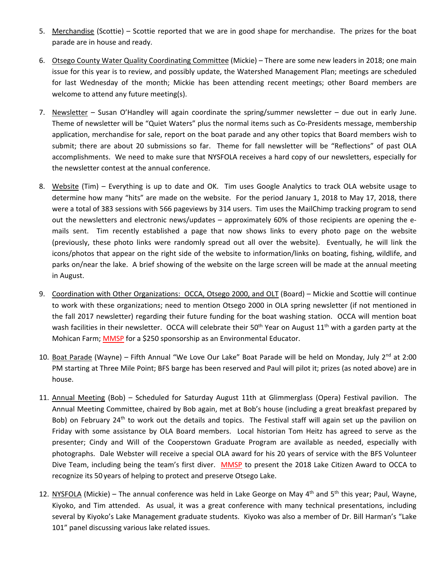- 5. Merchandise (Scottie) Scottie reported that we are in good shape for merchandise. The prizes for the boat parade are in house and ready.
- 6. Otsego County Water Quality Coordinating Committee (Mickie) There are some new leaders in 2018; one main issue for this year is to review, and possibly update, the Watershed Management Plan; meetings are scheduled for last Wednesday of the month; Mickie has been attending recent meetings; other Board members are welcome to attend any future meeting(s).
- 7. Newsletter  $-$  Susan O'Handley will again coordinate the spring/summer newsletter  $-$  due out in early June. Theme of newsletter will be "Quiet Waters" plus the normal items such as Co‐Presidents message, membership application, merchandise for sale, report on the boat parade and any other topics that Board members wish to submit; there are about 20 submissions so far. Theme for fall newsletter will be "Reflections" of past OLA accomplishments. We need to make sure that NYSFOLA receives a hard copy of our newsletters, especially for the newsletter contest at the annual conference.
- 8. Website (Tim) Everything is up to date and OK. Tim uses Google Analytics to track OLA website usage to determine how many "hits" are made on the website. For the period January 1, 2018 to May 17, 2018, there were a total of 383 sessions with 566 pageviews by 314 users. Tim uses the MailChimp tracking program to send out the newsletters and electronic news/updates – approximately 60% of those recipients are opening the e‐ mails sent. Tim recently established a page that now shows links to every photo page on the website (previously, these photo links were randomly spread out all over the website). Eventually, he will link the icons/photos that appear on the right side of the website to information/links on boating, fishing, wildlife, and parks on/near the lake. A brief showing of the website on the large screen will be made at the annual meeting in August.
- 9. Coordination with Other Organizations: OCCA, Otsego 2000, and OLT (Board) Mickie and Scottie will continue to work with these organizations; need to mention Otsego 2000 in OLA spring newsletter (if not mentioned in the fall 2017 newsletter) regarding their future funding for the boat washing station. OCCA will mention boat wash facilities in their newsletter. OCCA will celebrate their  $50^{th}$  Year on August  $11^{th}$  with a garden party at the Mohican Farm; MMSP for a \$250 sponsorship as an Environmental Educator.
- 10. Boat Parade (Wayne) Fifth Annual "We Love Our Lake" Boat Parade will be held on Monday, July 2<sup>nd</sup> at 2:00 PM starting at Three Mile Point; BFS barge has been reserved and Paul will pilot it; prizes (as noted above) are in house.
- 11. Annual Meeting (Bob) Scheduled for Saturday August 11th at Glimmerglass (Opera) Festival pavilion. The Annual Meeting Committee, chaired by Bob again, met at Bob's house (including a great breakfast prepared by Bob) on February 24<sup>th</sup> to work out the details and topics. The Festival staff will again set up the pavilion on Friday with some assistance by OLA Board members. Local historian Tom Heitz has agreed to serve as the presenter; Cindy and Will of the Cooperstown Graduate Program are available as needed, especially with photographs. Dale Webster will receive a special OLA award for his 20 years of service with the BFS Volunteer Dive Team, including being the team's first diver. MMSP to present the 2018 Lake Citizen Award to OCCA to recognize its 50 years of helping to protect and preserve Otsego Lake.
- 12. NYSFOLA (Mickie) The annual conference was held in Lake George on May  $4<sup>th</sup>$  and  $5<sup>th</sup>$  this year; Paul, Wayne, Kiyoko, and Tim attended. As usual, it was a great conference with many technical presentations, including several by Kiyoko's Lake Management graduate students. Kiyoko was also a member of Dr. Bill Harman's "Lake 101" panel discussing various lake related issues.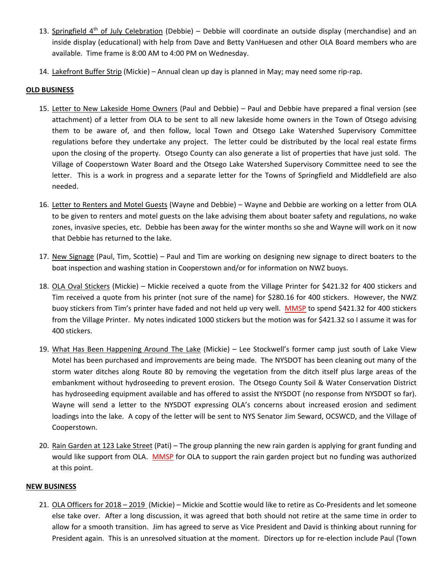- 13. Springfield  $4<sup>th</sup>$  of July Celebration (Debbie) Debbie will coordinate an outside display (merchandise) and an inside display (educational) with help from Dave and Betty VanHuesen and other OLA Board members who are available. Time frame is 8:00 AM to 4:00 PM on Wednesday.
- 14. Lakefront Buffer Strip (Mickie) Annual clean up day is planned in May; may need some rip‐rap.

#### **OLD BUSINESS**

- 15. Letter to New Lakeside Home Owners (Paul and Debbie) Paul and Debbie have prepared a final version (see attachment) of a letter from OLA to be sent to all new lakeside home owners in the Town of Otsego advising them to be aware of, and then follow, local Town and Otsego Lake Watershed Supervisory Committee regulations before they undertake any project. The letter could be distributed by the local real estate firms upon the closing of the property. Otsego County can also generate a list of properties that have just sold. The Village of Cooperstown Water Board and the Otsego Lake Watershed Supervisory Committee need to see the letter. This is a work in progress and a separate letter for the Towns of Springfield and Middlefield are also needed.
- 16. Letter to Renters and Motel Guests (Wayne and Debbie) Wayne and Debbie are working on a letter from OLA to be given to renters and motel guests on the lake advising them about boater safety and regulations, no wake zones, invasive species, etc. Debbie has been away for the winter months so she and Wayne will work on it now that Debbie has returned to the lake.
- 17. New Signage (Paul, Tim, Scottie) Paul and Tim are working on designing new signage to direct boaters to the boat inspection and washing station in Cooperstown and/or for information on NWZ buoys.
- 18. OLA Oval Stickers (Mickie) Mickie received a quote from the Village Printer for \$421.32 for 400 stickers and Tim received a quote from his printer (not sure of the name) for \$280.16 for 400 stickers. However, the NWZ buoy stickers from Tim's printer have faded and not held up very well. MMSP to spend \$421.32 for 400 stickers from the Village Printer. My notes indicated 1000 stickers but the motion was for \$421.32 so I assume it was for 400 stickers.
- 19. What Has Been Happening Around The Lake (Mickie) Lee Stockwell's former camp just south of Lake View Motel has been purchased and improvements are being made. The NYSDOT has been cleaning out many of the storm water ditches along Route 80 by removing the vegetation from the ditch itself plus large areas of the embankment without hydroseeding to prevent erosion. The Otsego County Soil & Water Conservation District has hydroseeding equipment available and has offered to assist the NYSDOT (no response from NYSDOT so far). Wayne will send a letter to the NYSDOT expressing OLA's concerns about increased erosion and sediment loadings into the lake. A copy of the letter will be sent to NYS Senator Jim Seward, OCSWCD, and the Village of Cooperstown.
- 20. Rain Garden at 123 Lake Street (Pati) The group planning the new rain garden is applying for grant funding and would like support from OLA. MMSP for OLA to support the rain garden project but no funding was authorized at this point.

#### **NEW BUSINESS**

21. OLA Officers for 2018 – 2019 (Mickie) – Mickie and Scottie would like to retire as Co‐Presidents and let someone else take over. After a long discussion, it was agreed that both should not retire at the same time in order to allow for a smooth transition. Jim has agreed to serve as Vice President and David is thinking about running for President again. This is an unresolved situation at the moment. Directors up for re-election include Paul (Town